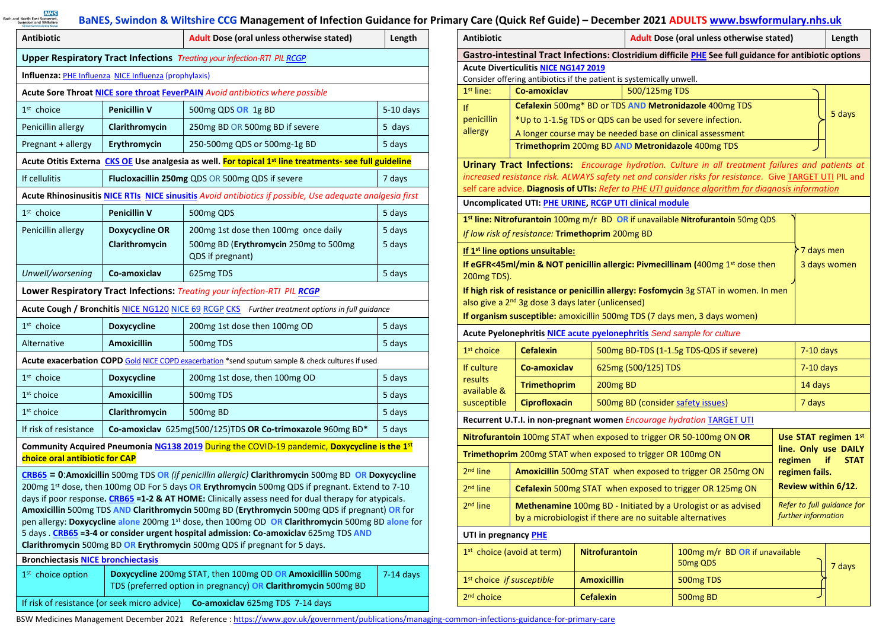**MAS**<br>Bath and North East Somerset,

## **BaNES, Swindon & Wiltshire CCG Management of Infection Guidance for Primary Care (Quick Ref Guide) – December 2021 ADULTS [www.bswformulary.nhs.uk](http://www.bswformulary.nhs.uk/)**

| Antibiotic                                                                                                |                                                       | Adult Dose (oral unless otherwise stated)                                                                                                                                                                                                                                                                                                                                                                                                                                                                                                                                                                                                                                                    | Length      |  |  |  |
|-----------------------------------------------------------------------------------------------------------|-------------------------------------------------------|----------------------------------------------------------------------------------------------------------------------------------------------------------------------------------------------------------------------------------------------------------------------------------------------------------------------------------------------------------------------------------------------------------------------------------------------------------------------------------------------------------------------------------------------------------------------------------------------------------------------------------------------------------------------------------------------|-------------|--|--|--|
| Upper Respiratory Tract Infections Treating your infection-RTI PIL RCGP                                   |                                                       |                                                                                                                                                                                                                                                                                                                                                                                                                                                                                                                                                                                                                                                                                              |             |  |  |  |
|                                                                                                           | Influenza: PHE Influenza NICE Influenza (prophylaxis) |                                                                                                                                                                                                                                                                                                                                                                                                                                                                                                                                                                                                                                                                                              |             |  |  |  |
|                                                                                                           |                                                       | Acute Sore Throat NICE sore throat FeverPAIN Avoid antibiotics where possible                                                                                                                                                                                                                                                                                                                                                                                                                                                                                                                                                                                                                |             |  |  |  |
| $1st$ choice                                                                                              | <b>Penicillin V</b>                                   | 500mg QDS OR 1g BD<br>$5-10$ days                                                                                                                                                                                                                                                                                                                                                                                                                                                                                                                                                                                                                                                            |             |  |  |  |
| Penicillin allergy                                                                                        | Clarithromycin                                        | 250mg BD OR 500mg BD if severe<br>5 days                                                                                                                                                                                                                                                                                                                                                                                                                                                                                                                                                                                                                                                     |             |  |  |  |
| Pregnant + allergy                                                                                        | Erythromycin                                          | 250-500mg QDS or 500mg-1g BD<br>5 days                                                                                                                                                                                                                                                                                                                                                                                                                                                                                                                                                                                                                                                       |             |  |  |  |
|                                                                                                           |                                                       | Acute Otitis Externa CKS OE Use analgesia as well. For topical 1st line treatments- see full guideline                                                                                                                                                                                                                                                                                                                                                                                                                                                                                                                                                                                       |             |  |  |  |
| Flucloxacillin 250mg QDS OR 500mg QDS if severe<br>If cellulitis<br>7 days                                |                                                       |                                                                                                                                                                                                                                                                                                                                                                                                                                                                                                                                                                                                                                                                                              |             |  |  |  |
| Acute Rhinosinusitis NICE RTIs NICE sinusitis Avoid antibiotics if possible, Use adequate analgesia first |                                                       |                                                                                                                                                                                                                                                                                                                                                                                                                                                                                                                                                                                                                                                                                              |             |  |  |  |
| $1st$ choice                                                                                              | <b>Penicillin V</b>                                   | 500mg QDS                                                                                                                                                                                                                                                                                                                                                                                                                                                                                                                                                                                                                                                                                    | 5 days      |  |  |  |
| Penicillin allergy                                                                                        | Doxycycline OR                                        | 200mg 1st dose then 100mg once daily                                                                                                                                                                                                                                                                                                                                                                                                                                                                                                                                                                                                                                                         | 5 days      |  |  |  |
|                                                                                                           | Clarithromycin                                        | 500mg BD (Erythromycin 250mg to 500mg<br>QDS if pregnant)                                                                                                                                                                                                                                                                                                                                                                                                                                                                                                                                                                                                                                    | 5 days      |  |  |  |
| Unwell/worsening                                                                                          | Co-amoxiclav                                          | 625mg TDS                                                                                                                                                                                                                                                                                                                                                                                                                                                                                                                                                                                                                                                                                    | 5 days      |  |  |  |
|                                                                                                           |                                                       | Lower Respiratory Tract Infections: Treating your infection-RTI PIL RCGP                                                                                                                                                                                                                                                                                                                                                                                                                                                                                                                                                                                                                     |             |  |  |  |
|                                                                                                           |                                                       | Acute Cough / Bronchitis NICE NG120 NICE 69 RCGP CKS Further treatment options in full guidance                                                                                                                                                                                                                                                                                                                                                                                                                                                                                                                                                                                              |             |  |  |  |
| $1st$ choice                                                                                              | Doxycycline                                           | 200mg 1st dose then 100mg OD<br>5 days                                                                                                                                                                                                                                                                                                                                                                                                                                                                                                                                                                                                                                                       |             |  |  |  |
| Alternative                                                                                               | <b>Amoxicillin</b>                                    | 500mg TDS                                                                                                                                                                                                                                                                                                                                                                                                                                                                                                                                                                                                                                                                                    | 5 days      |  |  |  |
|                                                                                                           |                                                       | Acute exacerbation COPD Gold NICE COPD exacerbation *send sputum sample & check cultures if used                                                                                                                                                                                                                                                                                                                                                                                                                                                                                                                                                                                             |             |  |  |  |
| $1st$ choice                                                                                              | Doxycycline                                           | 200mg 1st dose, then 100mg OD                                                                                                                                                                                                                                                                                                                                                                                                                                                                                                                                                                                                                                                                | 5 days      |  |  |  |
| 1 <sup>st</sup> choice                                                                                    | <b>Amoxicillin</b>                                    | 500mg TDS                                                                                                                                                                                                                                                                                                                                                                                                                                                                                                                                                                                                                                                                                    | 5 days      |  |  |  |
| $1st$ choice                                                                                              | Clarithromycin                                        | 500mg BD                                                                                                                                                                                                                                                                                                                                                                                                                                                                                                                                                                                                                                                                                     | 5 days      |  |  |  |
| If risk of resistance                                                                                     |                                                       | Co-amoxiclav 625mg(500/125)TDS OR Co-trimoxazole 960mg BD*<br>5 days                                                                                                                                                                                                                                                                                                                                                                                                                                                                                                                                                                                                                         |             |  |  |  |
| choice oral antibiotic for CAP                                                                            |                                                       | Community Acquired Pneumonia NG138 2019 During the COVID-19 pandemic, Doxycycline is the 1st                                                                                                                                                                                                                                                                                                                                                                                                                                                                                                                                                                                                 |             |  |  |  |
|                                                                                                           |                                                       | $CRB65 = 0$ : Amoxicillin 500mg TDS OR (if penicillin allergic) Clarithromycin 500mg BD OR Doxycycline<br>200mg 1st dose, then 100mg OD For 5 days OR Erythromycin 500mg QDS if pregnant. Extend to 7-10<br>days if poor response. CRB65 =1-2 & AT HOME: Clinically assess need for dual therapy for atypicals.<br>Amoxicillin 500mg TDS AND Clarithromycin 500mg BD (Erythromycin 500mg QDS if pregnant) OR for<br>pen allergy: Doxycycline alone 200mg 1st dose, then 100mg OD OR Clarithromycin 500mg BD alone for<br>5 days . CRB65 = 3-4 or consider urgent hospital admission: Co-amoxiclav 625mg TDS AND<br>Clarithromycin 500mg BD OR Erythromycin 500mg QDS if pregnant for 5 days. |             |  |  |  |
| <b>Bronchiectasis NICE bronchiectasis</b>                                                                 |                                                       |                                                                                                                                                                                                                                                                                                                                                                                                                                                                                                                                                                                                                                                                                              |             |  |  |  |
| 1 <sup>st</sup> choice option                                                                             |                                                       | Doxycycline 200mg STAT, then 100mg OD OR Amoxicillin 500mg<br>TDS (preferred option in pregnancy) OR Clarithromycin 500mg BD                                                                                                                                                                                                                                                                                                                                                                                                                                                                                                                                                                 | $7-14$ days |  |  |  |
| If risk of resistance (or seek micro advice)                                                              |                                                       | Co-amoxiclav 625mg TDS 7-14 days                                                                                                                                                                                                                                                                                                                                                                                                                                                                                                                                                                                                                                                             |             |  |  |  |

| Antibiotic                                                                                                           | Adult Dose (oral unless otherwise stated)<br>Length                                         |                       |                                                        |                                                                                                                                                                                                                    |  |                   |  |  |
|----------------------------------------------------------------------------------------------------------------------|---------------------------------------------------------------------------------------------|-----------------------|--------------------------------------------------------|--------------------------------------------------------------------------------------------------------------------------------------------------------------------------------------------------------------------|--|-------------------|--|--|
| Gastro-intestinal Tract Infections: Clostridium difficile PHE See full guidance for antibiotic options               |                                                                                             |                       |                                                        |                                                                                                                                                                                                                    |  |                   |  |  |
|                                                                                                                      | <b>Acute Diverticulitis NICE NG147 2019</b>                                                 |                       |                                                        |                                                                                                                                                                                                                    |  |                   |  |  |
| $1st$ line:                                                                                                          | Consider offering antibiotics if the patient is systemically unwell.<br>Co-amoxiclav        |                       | 500/125mg TDS                                          |                                                                                                                                                                                                                    |  |                   |  |  |
|                                                                                                                      |                                                                                             |                       |                                                        |                                                                                                                                                                                                                    |  |                   |  |  |
| Ιf<br>penicillin                                                                                                     | Cefalexin 500mg* BD or TDS AND Metronidazole 400mg TDS<br>5 days                            |                       |                                                        |                                                                                                                                                                                                                    |  |                   |  |  |
| allergy                                                                                                              | *Up to 1-1.5g TDS or QDS can be used for severe infection.                                  |                       |                                                        |                                                                                                                                                                                                                    |  |                   |  |  |
| A longer course may be needed base on clinical assessment<br>Trimethoprim 200mg BD AND Metronidazole 400mg TDS       |                                                                                             |                       |                                                        |                                                                                                                                                                                                                    |  |                   |  |  |
|                                                                                                                      |                                                                                             |                       |                                                        |                                                                                                                                                                                                                    |  |                   |  |  |
|                                                                                                                      |                                                                                             |                       |                                                        | <b>Urinary Tract Infections:</b> Encourage hydration. Culture in all treatment failures and patients at<br>increased resistance risk. ALWAYS safety net and consider risks for resistance. Give TARGET UTI PIL and |  |                   |  |  |
|                                                                                                                      |                                                                                             |                       |                                                        | self care advice. Diagnosis of UTIs: Refer to PHE UTI quidance algorithm for diagnosis information                                                                                                                 |  |                   |  |  |
| Uncomplicated UTI: PHE URINE, RCGP UTI clinical module                                                               |                                                                                             |                       |                                                        |                                                                                                                                                                                                                    |  |                   |  |  |
|                                                                                                                      |                                                                                             |                       |                                                        | 1st line: Nitrofurantoin 100mg m/r BD OR if unavailable Nitrofurantoin 50mg QDS                                                                                                                                    |  |                   |  |  |
|                                                                                                                      | If low risk of resistance: Trimethoprim 200mg BD                                            |                       |                                                        |                                                                                                                                                                                                                    |  |                   |  |  |
|                                                                                                                      | If 1 <sup>st</sup> line options unsuitable:                                                 |                       |                                                        |                                                                                                                                                                                                                    |  | $\geq 7$ days men |  |  |
|                                                                                                                      |                                                                                             |                       |                                                        | If eGFR<45ml/min & NOT penicillin allergic: Pivmecillinam (400mg 1st dose then                                                                                                                                     |  | 3 days women      |  |  |
| 200mg TDS).                                                                                                          |                                                                                             |                       |                                                        |                                                                                                                                                                                                                    |  |                   |  |  |
|                                                                                                                      |                                                                                             |                       |                                                        | If high risk of resistance or penicillin allergy: Fosfomycin 3g STAT in women. In men                                                                                                                              |  |                   |  |  |
|                                                                                                                      | also give a 2 <sup>nd</sup> 3g dose 3 days later (unlicensed)                               |                       |                                                        |                                                                                                                                                                                                                    |  |                   |  |  |
|                                                                                                                      |                                                                                             |                       |                                                        | If organism susceptible: amoxicillin 500mg TDS (7 days men, 3 days women)                                                                                                                                          |  |                   |  |  |
| Acute Pyelonephritis NICE acute pyelonephritis Send sample for culture                                               |                                                                                             |                       |                                                        |                                                                                                                                                                                                                    |  |                   |  |  |
| 1 <sup>st</sup> choice                                                                                               | <b>Cefalexin</b>                                                                            |                       | 500mg BD-TDS (1-1.5g TDS-QDS if severe)<br>$7-10$ days |                                                                                                                                                                                                                    |  |                   |  |  |
| If culture<br>Co-amoxiclav                                                                                           |                                                                                             |                       | 625mg (500/125) TDS                                    |                                                                                                                                                                                                                    |  | $7-10$ days       |  |  |
| results<br>available &                                                                                               | <b>Trimethoprim</b>                                                                         | 200mg BD              |                                                        | 14 days                                                                                                                                                                                                            |  |                   |  |  |
| susceptible                                                                                                          | <b>Ciprofloxacin</b>                                                                        |                       | 500mg BD (consider safety issues)                      |                                                                                                                                                                                                                    |  | 7 days            |  |  |
|                                                                                                                      |                                                                                             |                       |                                                        | Recurrent U.T.I. in non-pregnant women Encourage hydration TARGET UTI                                                                                                                                              |  |                   |  |  |
| Nitrofurantoin 100mg STAT when exposed to trigger OR 50-100mg ON OR<br>Use STAT regimen 1st                          |                                                                                             |                       |                                                        |                                                                                                                                                                                                                    |  |                   |  |  |
| line. Only use DAILY<br>Trimethoprim 200mg STAT when exposed to trigger OR 100mg ON<br>regimen<br>if.<br><b>STAT</b> |                                                                                             |                       |                                                        |                                                                                                                                                                                                                    |  |                   |  |  |
| $2nd$ line                                                                                                           | Amoxicillin 500mg STAT when exposed to trigger OR 250mg ON<br>regimen fails.                |                       |                                                        |                                                                                                                                                                                                                    |  |                   |  |  |
| $2nd$ line                                                                                                           | Review within 6/12.<br>Cefalexin 500mg STAT when exposed to trigger OR 125mg ON             |                       |                                                        |                                                                                                                                                                                                                    |  |                   |  |  |
| 2 <sup>nd</sup> line                                                                                                 | Refer to full quidance for<br>Methenamine 100mg BD - Initiated by a Urologist or as advised |                       |                                                        |                                                                                                                                                                                                                    |  |                   |  |  |
| further information<br>by a microbiologist if there are no suitable alternatives                                     |                                                                                             |                       |                                                        |                                                                                                                                                                                                                    |  |                   |  |  |
| UTI in pregnancy PHE                                                                                                 |                                                                                             |                       |                                                        |                                                                                                                                                                                                                    |  |                   |  |  |
| 1 <sup>st</sup> choice (avoid at term)                                                                               |                                                                                             | <b>Nitrofurantoin</b> |                                                        | 100mg m/r BD OR if unavailable<br>50mg QDS<br>7 days                                                                                                                                                               |  |                   |  |  |
| 1st choice if susceptible                                                                                            |                                                                                             | <b>Amoxicillin</b>    |                                                        | 500mg TDS                                                                                                                                                                                                          |  |                   |  |  |
| 2 <sup>nd</sup> choice                                                                                               |                                                                                             | <b>Cefalexin</b>      |                                                        | 500mg BD                                                                                                                                                                                                           |  |                   |  |  |

BSW Medicines Management December 2021 Reference : https://www.gov.uk/government/publications/managing-common-infections-guidance-for-primary-care